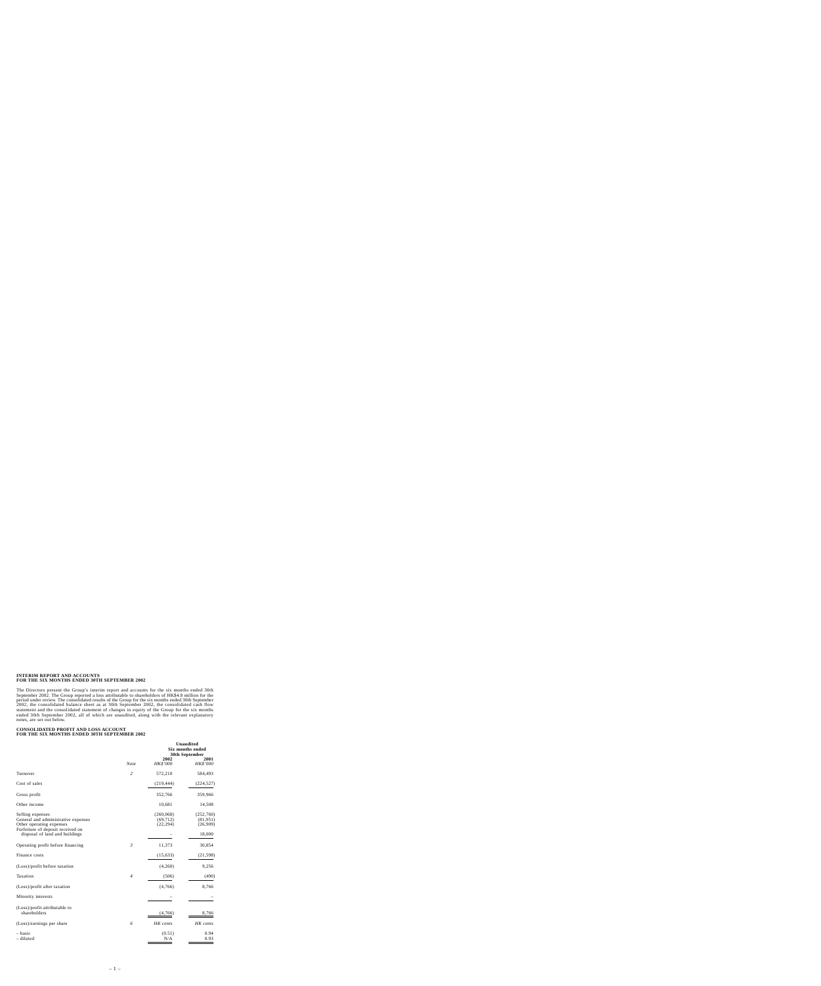#### **INTERIM REPORT AND ACCOUNTS FOR THE SIX MONTHS ENDED 30TH SEPTEMBER 2002**

The Directors present the Group's interim report and accounts for the six months ended 30th September 2002. The Group reported a loss attributable to shareholders of HK\$4.8 million for the period under review. The consolidated results of the Group for the six months ended 30th September 2002, the consolidated balance sheet as at 30th September 2002, the consolidated cash flow statement and the consolidated statement of changes in equity of the Group for the six months ended 30th September 2002, all of which are unaudited, along with the relevant explanatory notes, are set out below.

#### **CONSOLIDATED PROFIT AND LOSS ACCOUNT FOR THE SIX MONTHS ENDED 30TH SEPTEMBER 2002**

|                                                                                                                          |                | 2002                                 | <b>Unaudited</b><br>Six months ended<br>30th September<br>2001 |
|--------------------------------------------------------------------------------------------------------------------------|----------------|--------------------------------------|----------------------------------------------------------------|
|                                                                                                                          | <b>Note</b>    | HK\$'000                             | HK\$'000                                                       |
| Turnover                                                                                                                 | $\overline{2}$ | 572,210                              | 584,493                                                        |
| Cost of sales                                                                                                            |                | (219, 444)                           | (224, 527)                                                     |
| Gross profit                                                                                                             |                | 352,766                              | 359,966                                                        |
| Other income                                                                                                             |                | 10,681                               | 14,508                                                         |
| Selling expenses<br>General and administrative expenses<br>Other operating expenses<br>Forfeiture of deposit received on |                | (260, 068)<br>(69, 712)<br>(22, 294) | (252,760)<br>(81,951)<br>(26,909)                              |
| disposal of land and buildings                                                                                           |                |                                      | 18,000                                                         |
| Operating profit before financing                                                                                        | $\mathfrak{Z}$ | 11,373                               | 30,854                                                         |
| Finance costs                                                                                                            |                | (15, 633)                            | (21, 598)                                                      |
| (Loss)/profit before taxation                                                                                            |                | (4,260)                              | 9,256                                                          |
| Taxation                                                                                                                 | $\overline{4}$ | (506)                                | (490)                                                          |
| (Loss)/profit after taxation                                                                                             |                | (4,766)                              | 8,766                                                          |
| Minority interests                                                                                                       |                |                                      |                                                                |
| (Loss)/profit attributable to<br>shareholders                                                                            |                | (4,766)                              | 8,766                                                          |
| (Loss)/earnings per share                                                                                                | 6              | HK cents                             | HK cents                                                       |
| – basic<br>- diluted                                                                                                     |                | (0.51)<br>N/A                        | 0.94<br>0.93                                                   |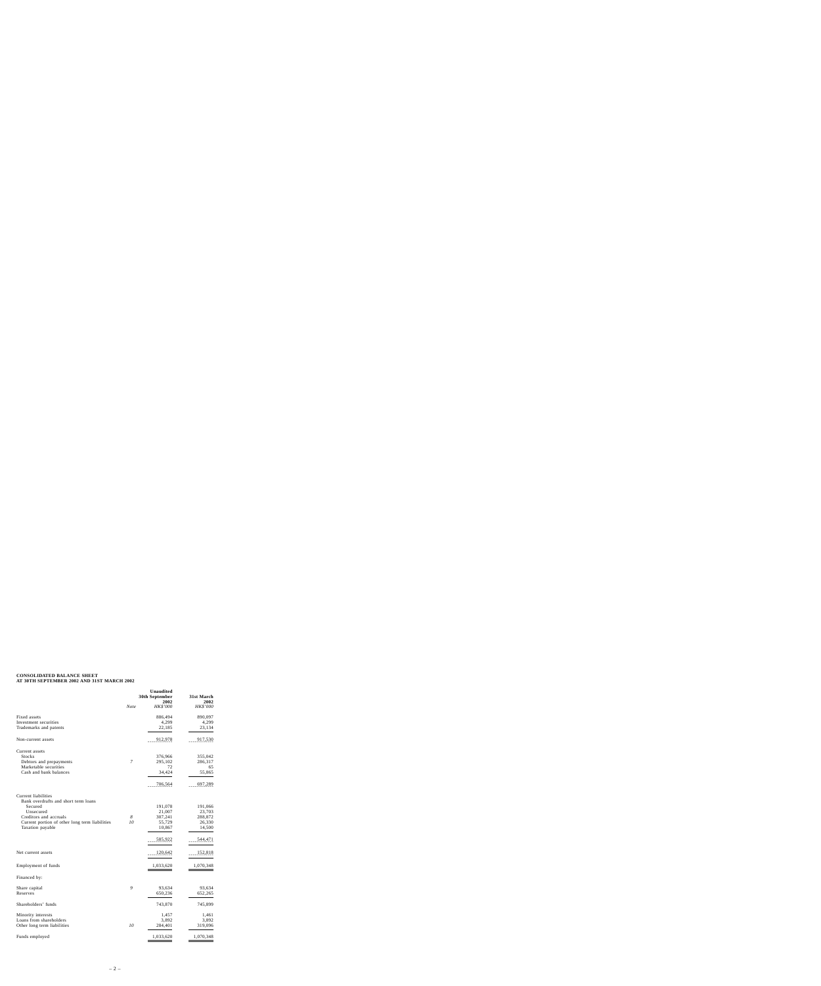# **CONSOLIDATED BALANCE SHEET AT 30TH SEPTEMBER 2002 AND 31ST MARCH 2002**

|                                                             | Unaudited<br>30th September<br>2002 |           | 31st March<br>2002 |  |
|-------------------------------------------------------------|-------------------------------------|-----------|--------------------|--|
|                                                             | Note                                | HK\$'000  | HK\$'000           |  |
| Fixed assets                                                |                                     | 886,494   | 890,097            |  |
| Investment securities                                       |                                     | 4,299     | 4,299              |  |
| Trademarks and patents                                      |                                     | 22,185    | 23,134             |  |
| Non-current assets                                          |                                     | 912,978   | 917,530            |  |
| Current assets                                              |                                     |           |                    |  |
| <b>Stocks</b>                                               |                                     | 376,966   | 355,042            |  |
| Debtors and prepayments                                     | 7                                   | 295,102   | 286,317            |  |
| Marketable securities                                       |                                     | 72        | 65                 |  |
| Cash and bank balances                                      |                                     | 34,424    | 55,865             |  |
|                                                             |                                     | 706,564   | 697,289            |  |
| Current liabilities<br>Bank overdrafts and short term loans |                                     |           |                    |  |
| Secured                                                     |                                     | 191,078   | 191,066            |  |
| Unsecured                                                   |                                     | 21,007    | 23,703             |  |
| Creditors and accruals                                      | 8                                   | 307,241   | 288,872            |  |
| Current portion of other long term liabilities              | 10                                  | 55,729    | 26,330             |  |
| Taxation payable                                            |                                     | 10,867    | 14,500             |  |
|                                                             |                                     | 585,922   | 544,471            |  |
| Net current assets                                          |                                     | 120,642   | 152,818            |  |
| Employment of funds                                         |                                     | 1,033,620 | 1,070,348          |  |
| Financed by:                                                |                                     |           |                    |  |
| Share capital                                               | 9                                   | 93,634    | 93,634             |  |
| Reserves                                                    |                                     | 650,236   | 652,265            |  |
| Shareholders' funds                                         |                                     | 743,870   | 745,899            |  |
| Minority interests                                          |                                     | 1,457     | 1,461              |  |
| Loans from shareholders                                     |                                     | 3,892     | 3,892              |  |
| Other long term liabilities                                 | 10                                  | 284,401   | 319,096            |  |
| Funds employed                                              |                                     | 1,033,620 | 1,070,348          |  |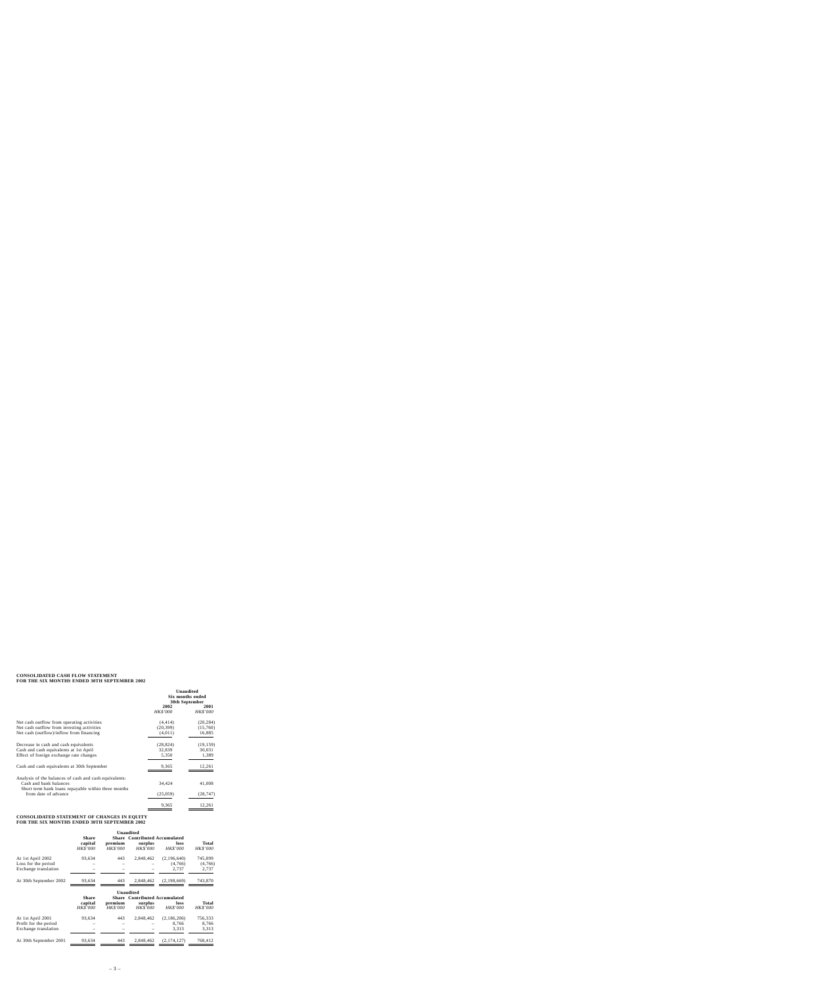# **CONSOLIDATED CASH FLOW STATEMENT FOR THE SIX MONTHS ENDED 30TH SEPTEMBER 2002**

|                                                                                                                                         | <b>Unaudited</b><br><b>Six months ended</b><br>30th September |                                 |
|-----------------------------------------------------------------------------------------------------------------------------------------|---------------------------------------------------------------|---------------------------------|
|                                                                                                                                         | 2002<br><b>HK\$'000</b>                                       | <b>2001</b><br>HK\$'000         |
| Net cash outflow from operating activities<br>Net cash outflow from investing activities<br>Net cash (outflow)/inflow from financing    | (4, 414)<br>(20, 399)<br>(4,011)                              | (20, 284)<br>(15,760)<br>16,885 |
| Decrease in cash and cash equivalents<br>Cash and cash equivalents at 1st April<br>Effect of foreign exchange rate changes              | (28, 824)<br>32,839<br>5,350                                  | (19, 159)<br>30,031<br>1,389    |
| Cash and cash equivalents at 30th September                                                                                             | 9,365                                                         | 12,261                          |
| Analysis of the balances of cash and cash equivalents:<br>Cash and bank balances<br>Short term bank loans repayable within three months | 34,424                                                        | 41,008                          |
| from date of advance                                                                                                                    | (25,059)                                                      | (28, 747)                       |
|                                                                                                                                         | 9,365                                                         | 12,261                          |

# **CONSOLIDATED STATEMENT OF CHANGES IN EQUITY FOR THE SIX MONTHS ENDED 30TH SEPTEMBER 2002**

|                        | Unaudited                                  |                            |                                                                    |                         |                                 |
|------------------------|--------------------------------------------|----------------------------|--------------------------------------------------------------------|-------------------------|---------------------------------|
|                        | <b>Share</b><br>capital<br><b>HK\$'000</b> | premium<br><b>HK\$'000</b> | <b>Share Contributed Accumulated</b><br>surplus<br><i>HK\$'000</i> | loss<br><b>HK\$'000</b> | <b>Total</b><br><b>HK\$'000</b> |
| At 1st April 2002      | 93,634                                     | 443                        | 2.848.462                                                          | (2,196,640)             | 745,899                         |
| Loss for the period    |                                            |                            |                                                                    | (4,766)                 | (4,766)                         |
| Exchange translation   |                                            |                            |                                                                    | 2.737                   | 2,737                           |
| At 30th September 2002 | 93,634                                     | 443                        | 2.848.462                                                          | (2,198,669)             | 743,870                         |

|                                               | Unaudited                                  |                     |                                                             |                         |                                 |
|-----------------------------------------------|--------------------------------------------|---------------------|-------------------------------------------------------------|-------------------------|---------------------------------|
|                                               | <b>Share</b><br>capital<br><b>HK\$'000</b> | premium<br>HK\$'000 | <b>Share</b> Contributed Accumulated<br>surplus<br>HK\$'000 | loss<br><b>HK\$'000</b> | <b>Total</b><br><b>HK\$'000</b> |
| At 1st April 2001                             | 93.634                                     | 443                 | 2.848.462                                                   | (2,186,206)             | 756,333                         |
| Profit for the period<br>Exchange translation |                                            |                     |                                                             | 8.766<br>3.313          | 8.766<br>3,313                  |
| At 30th September 2001                        | 93,634                                     | 443                 | 2,848,462                                                   | (2,174,127)             | 768,412                         |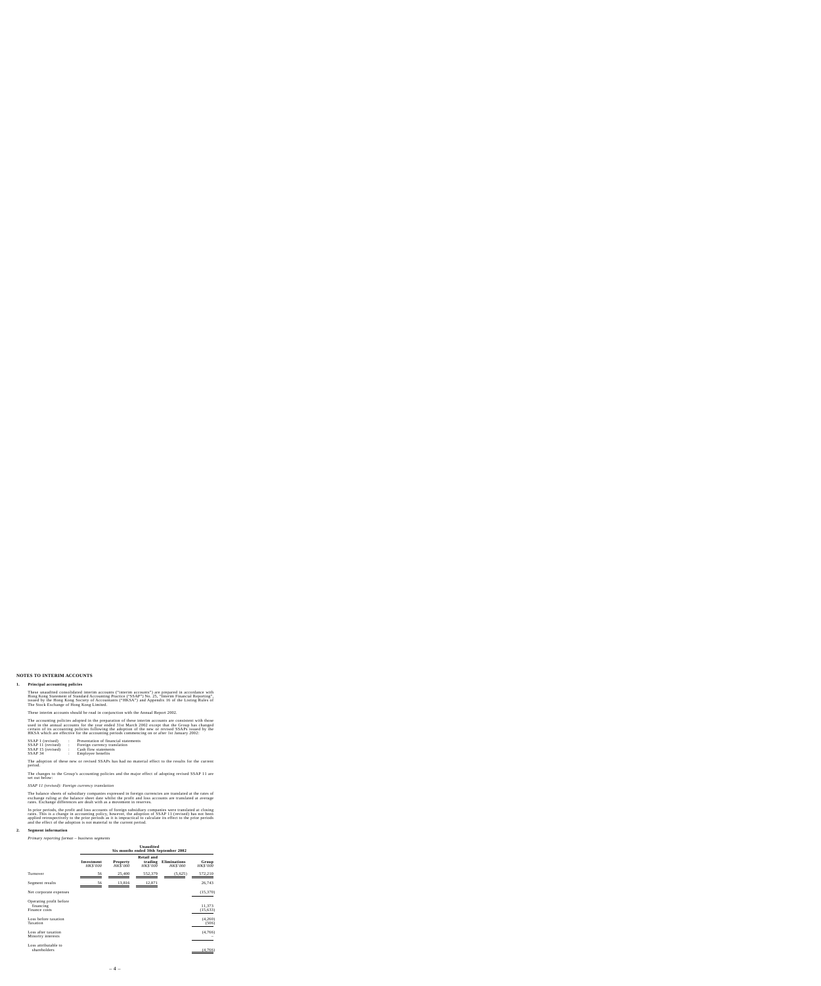# **NOTES TO INTERIM ACCOUNTS**

#### **1. Principal accounting policies**

These unaudited consolidated interim accounts ("interim accounts") are prepared in accordance with<br>Hong Kong Statement of Standard Accounting Practice ("SSAP") No. 25, "Interim Financial Reporting".<br>issued by the Hong Kong The Stock Exchange of Hong Kong Limited.

These interim accounts should be read in conjunction with the Annual Report 2002.

The accounting policies adopted in the preparation of these interim accounts are consistent with those used in the annual accounts for the year ended 31st March 2002 except that the Group has changed certain of its accounting policies following the adoption of the new or revised SSAPs issued by the HKSA which are effective for the accounting periods commencing on or after 1st January 2002:

| SSAP 1 (revised)  |                | Presentation of financial statements |
|-------------------|----------------|--------------------------------------|
| SSAP 11 (revised) | $\mathbb{R}^n$ | Foreign currency translation         |
| SSAP 15 (revised) | - 11           | Cash flow statements                 |
| SSAP 34           |                | Employee benefits                    |

The adoption of these new or revised SSAPs has had no material effect to the results for the current period.

The changes to the Group's accounting policies and the major effect of adopting revised SSAP 11 are set out below:

#### *SSAP 11 (revised): Foreign currency translation*

The balance sheets of subsidiary companies expressed in foreign currencies are translated at the rates of exchange ruling at the balance sheet date whilst the profit and loss accounts are translated at average rates. Exchange differences are dealt with as a movement in reserves.

In prior periods, the profit and loss accounts of foreign subsidiary companies were translated at closing rates. This is a change in accounting policy, however, the adoption of SSAP 11 (revised) has not been applied retrospectively to the prior periods as it is impractical to calculate its effect to the prior periods and the effect of the adoption is not material to the current period.

#### **2. Segment information**

*Primary reporting format – business segments*

|                                                       | Unaudited<br>Six months ended 30th September 2002 |                                    |                                                 |                                        |                          |
|-------------------------------------------------------|---------------------------------------------------|------------------------------------|-------------------------------------------------|----------------------------------------|--------------------------|
|                                                       | Investment<br><b>HK\$'000</b>                     | <b>Property</b><br><b>HK\$'000</b> | <b>Retail and</b><br>trading<br><b>HK\$'000</b> | <b>Eliminations</b><br><b>HK\$'000</b> | Group<br><b>HK\$'000</b> |
| Turnover                                              | 56                                                | 25,400                             | 552,379                                         | (5,625)                                | 572,210                  |
| Segment results                                       | 56                                                | 13,816                             | 12,871                                          |                                        | 26,743                   |
| Net corporate expenses                                |                                                   |                                    |                                                 |                                        | (15,370)                 |
| Operating profit before<br>financing<br>Finance costs |                                                   |                                    |                                                 |                                        | 11,373<br>(15, 633)      |
| Loss before taxation<br>Taxation                      |                                                   |                                    |                                                 |                                        | (4,260)<br>(506)         |
| Loss after taxation<br>Minority interests             |                                                   |                                    |                                                 |                                        | (4,766)                  |
| Loss attributable to<br>shareholders                  |                                                   |                                    |                                                 |                                        | (4,766)                  |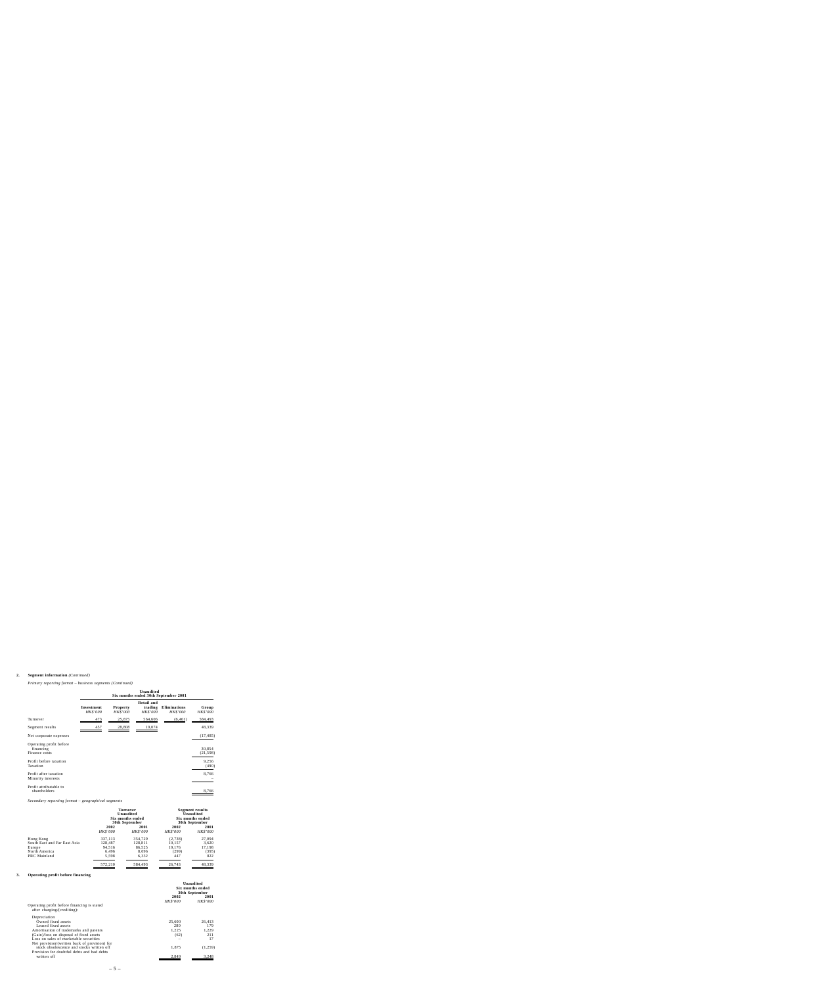# **2. Segment information** *(Continued)*

*Primary reporting format – business segments (Continued)*

|                                                       | <b>Unaudited</b><br>Six months ended 30th September 2001 |                             |                                                 |                                        |                          |
|-------------------------------------------------------|----------------------------------------------------------|-----------------------------|-------------------------------------------------|----------------------------------------|--------------------------|
|                                                       | Investment<br>HK\$'000                                   | Property<br><b>HK\$'000</b> | <b>Retail and</b><br>trading<br><b>HK\$'000</b> | <b>Eliminations</b><br><b>HK\$'000</b> | Group<br><b>HK\$'000</b> |
| Turnover                                              | 473                                                      | 25,875                      | 564,606                                         | (6, 461)                               | 584,493                  |
| Segment results                                       | 457                                                      | 28,808                      | 19,074                                          |                                        | 48,339                   |
| Net corporate expenses                                |                                                          |                             |                                                 |                                        | (17, 485)                |
| Operating profit before<br>financing<br>Finance costs |                                                          |                             |                                                 |                                        | 30,854<br>(21, 598)      |
| Profit before taxation<br>Taxation                    |                                                          |                             |                                                 |                                        | 9,256<br>(490)           |
| Profit after taxation<br>Minority interests           |                                                          |                             |                                                 |                                        | 8,766                    |
| Profit attributable to<br>shareholders                |                                                          |                             |                                                 |                                        | 8,766                    |

*Secondary reporting format – geographical segments*

|                              | <b>Turnover</b><br>Unaudited<br>Six months ended<br>30th September |                 |                 |                 |  | <b>Segment results</b><br>Unaudited<br>Six months ended<br>30th September |
|------------------------------|--------------------------------------------------------------------|-----------------|-----------------|-----------------|--|---------------------------------------------------------------------------|
|                              | 2002                                                               | 2001            | 2002            | 2001            |  |                                                                           |
|                              | <b>HK\$'000</b>                                                    | <b>HK\$'000</b> | <b>HK\$'000</b> | <i>HK\$'000</i> |  |                                                                           |
| Hong Kong                    | 337,113                                                            | 354,729         | (2,738)         | 27,094          |  |                                                                           |
| South East and Far East Asia | 128,487                                                            | 128,811         | 10,157          | 3,620           |  |                                                                           |
| Europe                       | 94.516                                                             | 86.525          | 19.176          | 17,198          |  |                                                                           |
| North America                | 6,496                                                              | 8,096           | (299)           | (395)           |  |                                                                           |
| PRC Mainland                 | 5,598                                                              | 6,332           | 447             | 822             |  |                                                                           |
|                              | 572,210                                                            | 584,493         | 26,743          | 48,339          |  |                                                                           |

# **3. Operating profit before financing**

|                                               | Unaudited<br>Six months ended<br>30th September |                 |
|-----------------------------------------------|-------------------------------------------------|-----------------|
|                                               | 2002                                            | 2001            |
|                                               | <b>HK\$'000</b>                                 | <b>HK\$'000</b> |
| Operating profit before financing is stated   |                                                 |                 |
| after charging/(crediting):                   |                                                 |                 |
| Depreciation                                  |                                                 |                 |
| Owned fixed assets                            | 25,600                                          | 26.413          |
| Leased fixed assets                           | 280                                             | 179             |
| Amortisation of trademarks and patents        | 1.225                                           | 1,229           |
| (Gain)/loss on disposal of fixed assets       | (62)                                            | 211             |
| Loss on sales of marketable securities        |                                                 | 17              |
| Net provision/(written back of provision) for |                                                 |                 |
| stock obsolescence and stocks written off     | 1,875                                           | (1,259)         |
| Provision for doubtful debts and bad debts    |                                                 |                 |
| written off                                   | 2,849                                           | 3.248           |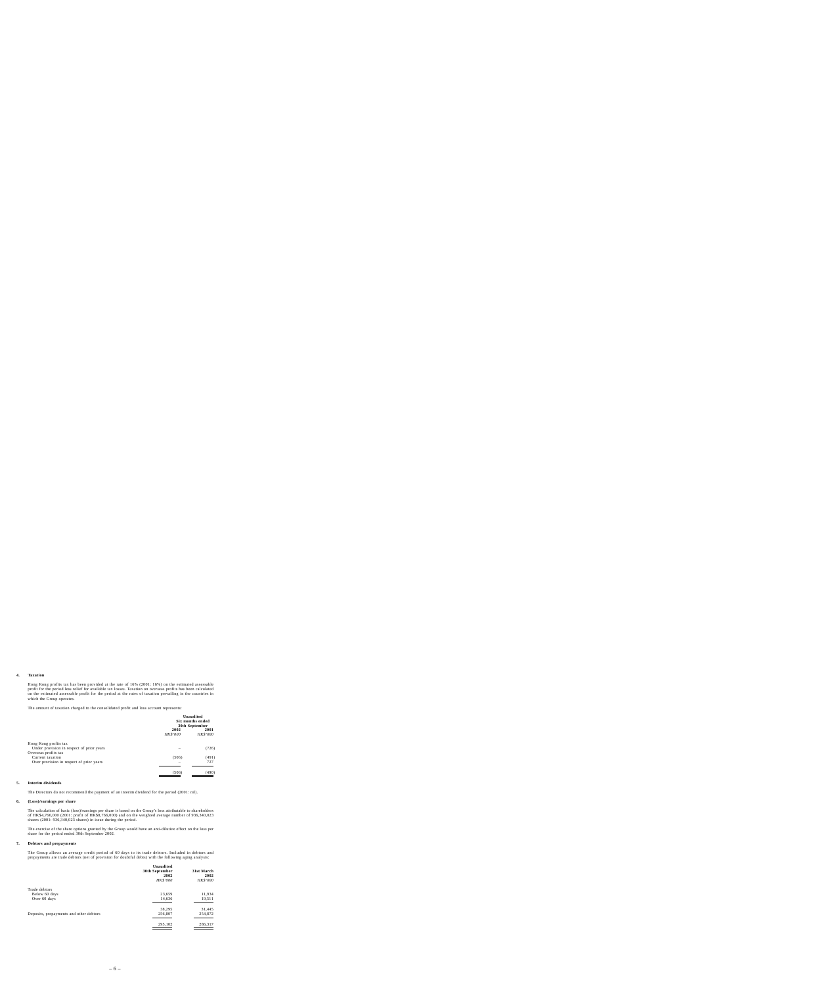#### **4. Taxation**

Hong Kong profits tax has been provided at the rate of 16% (2001: 16%) on the estimated assessable profit for the period less relief for available tax losses. Taxation on overseas profits has been calculated on the estimated assessable profit for the period at the rates of taxation prevailing in the countries in which the Group operates.

The amount of taxation charged to the consolidated profit and loss account represents:

|                                           | Unaudited<br>Six months ended<br>30th September |                         |
|-------------------------------------------|-------------------------------------------------|-------------------------|
|                                           | 2002<br><b>HK\$'000</b>                         | 2001<br><b>HK\$'000</b> |
| Hong Kong profits tax                     |                                                 |                         |
| Under provision in respect of prior years |                                                 | (726)                   |
| Overseas profits tax                      |                                                 |                         |
| Current taxation                          | (506)                                           | (491)                   |
| Over provision in respect of prior years  |                                                 | 727                     |
|                                           | (506)                                           | (490)                   |

#### **5. Interim dividends**

The Directors do not recommend the payment of an interim dividend for the period (2001: nil).

#### **6. (Loss)/earnings per share**

The calculation of basic (loss)/earnings per share is based on the Group's loss attributable to shareholders of HK\$4,766,000 (2001: profit of HK\$8,766,000) and on the weighted average number of 936,340,023 shares (2001: 936,340,023 shares) in issue during the period.

The exercise of the share options granted by the Group would have an anti-dilutive effect on the loss per share for the period ended 30th September 2002.

#### **7. Debtors and prepayments**

The Group allows an average credit period of 60 days to its trade debtors. Included in debtors and prepayments are trade debtors (net of provision for doubtful debts) with the following aging analysis:

| Unaudited<br>30th September<br>2002<br><b>HK\$'000</b> | 31st March<br>2002<br>HK\$'000 |
|--------------------------------------------------------|--------------------------------|
|                                                        |                                |
| 23,659                                                 | 11,934                         |
| 14,636                                                 | 19,511                         |
| 38,295                                                 | 31,445                         |
| 256,807                                                | 254,872                        |
| 295,102                                                | 286,317                        |
|                                                        |                                |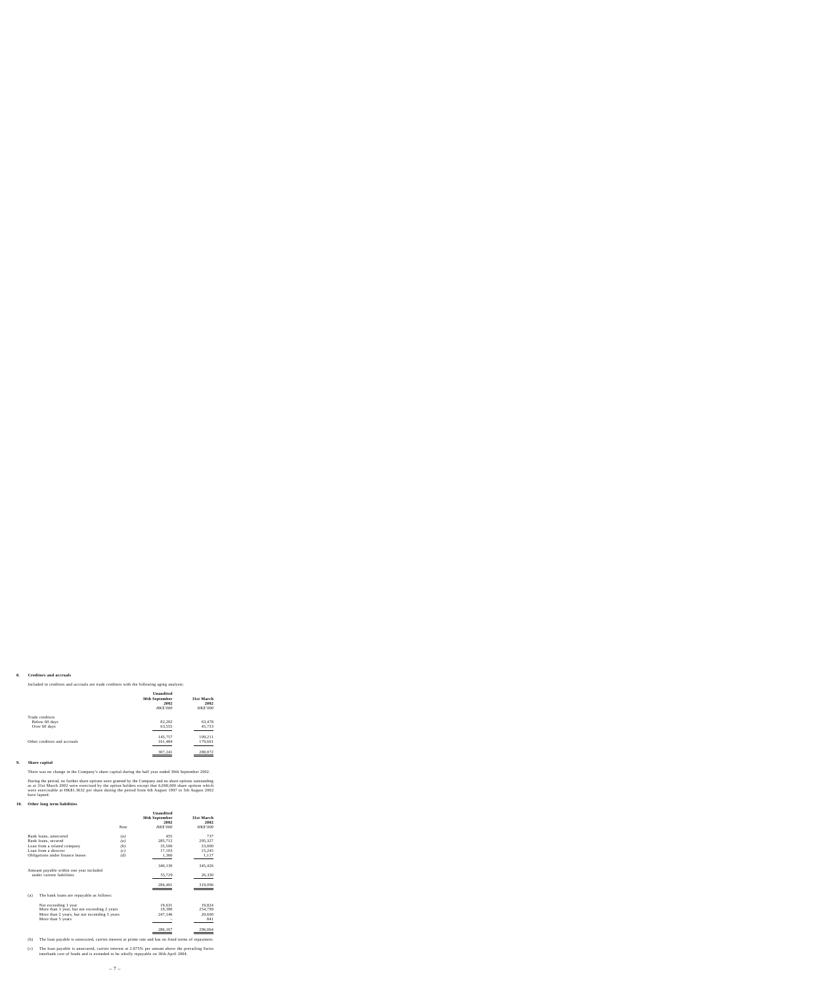#### **8. Creditors and accruals**

Included in creditors and accruals are trade creditors with the following aging analysis:

|                              | Unaudited<br>30th September<br>2002<br><b>HK\$'000</b> | 31st March<br>2002<br>HK\$'000 |
|------------------------------|--------------------------------------------------------|--------------------------------|
| Trade creditors              |                                                        |                                |
| Below 60 days                | 82,202                                                 | 63,478                         |
| Over 60 days                 | 63,555                                                 | 45,733                         |
|                              | 145,757                                                | 109,211                        |
| Other creditors and accruals | 161,484                                                | 179,661                        |
|                              | 307,241                                                | 288,872                        |

# **9. Share capital**

There was no change in the Company's share capital during the half year ended 30th September 2002.

During the period, no further share options were granted by the Company and no share options outstanding as at 31st March 2002 were exercised by the option holders except that 6,000,000 share options which were exercisable at HK\$1.3632 per share during the period from 6th August 1997 to 5th August 2002 have lapsed.

#### **10. Other long term liabilities**

|                                                                      |      | <b>Unaudited</b><br>30th September<br>2002 | 31st March<br>2002 |
|----------------------------------------------------------------------|------|--------------------------------------------|--------------------|
|                                                                      | Note | <b>HK\$'000</b>                            | <b>HK\$'000</b>    |
| Bank loans, unsecured                                                | (a)  | 455                                        | 737                |
| Bank loans, secured                                                  | (a)  | 285,712                                    | 295,327            |
| Loan from a related company                                          | (b)  | 35,500                                     | 33,000             |
| Loan from a director                                                 | (c)  | 17,103                                     | 15,245             |
| Obligations under finance leases                                     | (d)  | 1,360                                      | 1,117              |
|                                                                      |      | 340,130                                    | 345,426            |
| Amount payable within one year included<br>under current liabilities |      | 55,729                                     | 26,330             |
|                                                                      |      | 284,401                                    | 319,096            |
| The bank loans are repayable as follows:<br>(a)                      |      |                                            |                    |
| Not exceeding 1 year                                                 |      | 19,631                                     | 19,824             |
| More than 1 year, but not exceeding 2 years                          |      | 19,390                                     | 254,799            |
| More than 2 years, but not exceeding 5 years                         |      | 247,146                                    | 20,600             |
| More than 5 years                                                    |      |                                            | 841                |
|                                                                      |      | 286,167                                    | 296,064            |

(b) The loan payable is unsecured, carries interest at prime rate and has no fixed terms of repayment.

(c) The loan payable is unsecured, carries interest at 2.875% per annum above the prevailing Swiss interbank cost of funds and is extended to be wholly repayable on 30th April 2004.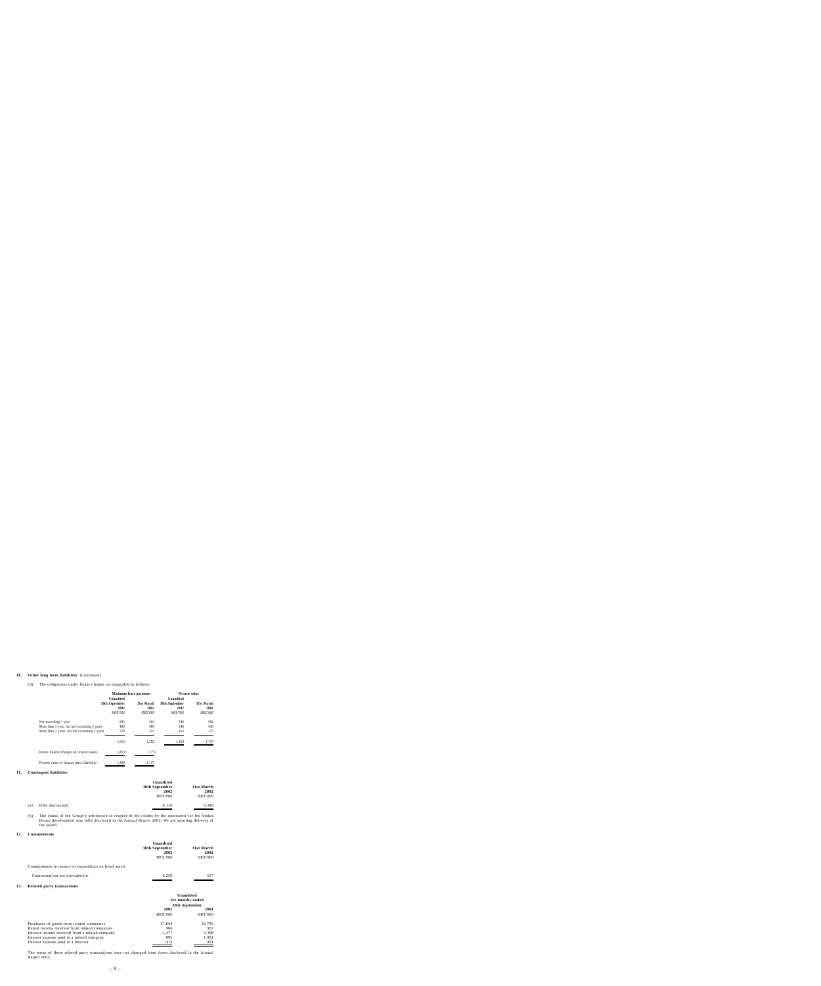#### **10. Other long term liabilities** *(Continued)*

#### (d) The obligations under finance leases are repayable as follows:

|                                                                                                                     | Minimum lease payments                                 |                                       | <b>Present value</b>                                   |                                       |  |
|---------------------------------------------------------------------------------------------------------------------|--------------------------------------------------------|---------------------------------------|--------------------------------------------------------|---------------------------------------|--|
|                                                                                                                     | Unaudited<br>30th September<br>2002<br><b>HK\$'000</b> | 31st March<br>2002<br><b>HK\$'000</b> | Unaudited<br>30th September<br>2002<br><b>HK\$'000</b> | 31st March<br>2002<br><b>HK\$'000</b> |  |
| Not exceeding 1 year<br>More than 1 year, but not exceeding 2 years<br>More than 2 years, but not exceeding 5 years | 685<br>406<br>522                                      | 582<br>489<br>221                     | 598<br>348<br>414                                      | 506<br>436<br>175                     |  |
|                                                                                                                     | 1.613                                                  | 1,292                                 | 1.360                                                  | 1.117                                 |  |
| Future finance charges on finance leases                                                                            | (253)                                                  | (175)                                 |                                                        |                                       |  |
| Present value of finance lease liabilities                                                                          | 1,360                                                  | 1,117                                 |                                                        |                                       |  |

#### **11. Contingent liabilities**

|     |                  | Unaudited       |                 |
|-----|------------------|-----------------|-----------------|
|     |                  | 30th September  | 31st March      |
|     |                  | 2002            | 2002            |
|     |                  | <b>HK\$'000</b> | <b>HK\$'000</b> |
| (a) | Bills discounted | 8.110           | 6.396           |

(b) The status of the Group's arbitration in respect of the claims by the contractor for the Stelux House development was fully disclosed in the Annual Report 2002. We are awaiting delivery of the award.

### **12. Commitments**

|                                                       | Unaudited<br>30th September<br>2002<br><b>HK\$'000</b> | 31st March<br>2002<br><b>HK\$'000</b> |
|-------------------------------------------------------|--------------------------------------------------------|---------------------------------------|
| Commitments in respect of expenditure on fixed assets |                                                        |                                       |
| Contracted but not provided for                       | 6.259                                                  | 557                                   |

#### **13. Related party transactions**

|                                                                                                                                                                                                                                    | Unaudited<br>Six months ended<br>30th September |                                        |  |
|------------------------------------------------------------------------------------------------------------------------------------------------------------------------------------------------------------------------------------|-------------------------------------------------|----------------------------------------|--|
|                                                                                                                                                                                                                                    | 2002<br><b>HK\$'000</b>                         | 2001<br><b>HK\$'000</b>                |  |
| Purchases of goods from related companies<br>Rental income received from related companies<br>Interest income received from a related company<br>Interest expense paid to a related company<br>Interest expense paid to a director | 17,654<br>906<br>2.377<br>893<br>413            | 18,795<br>957<br>2.308<br>1,001<br>401 |  |

The terms of these related party transactions have not changed from those disclosed in the Annual Report 2002.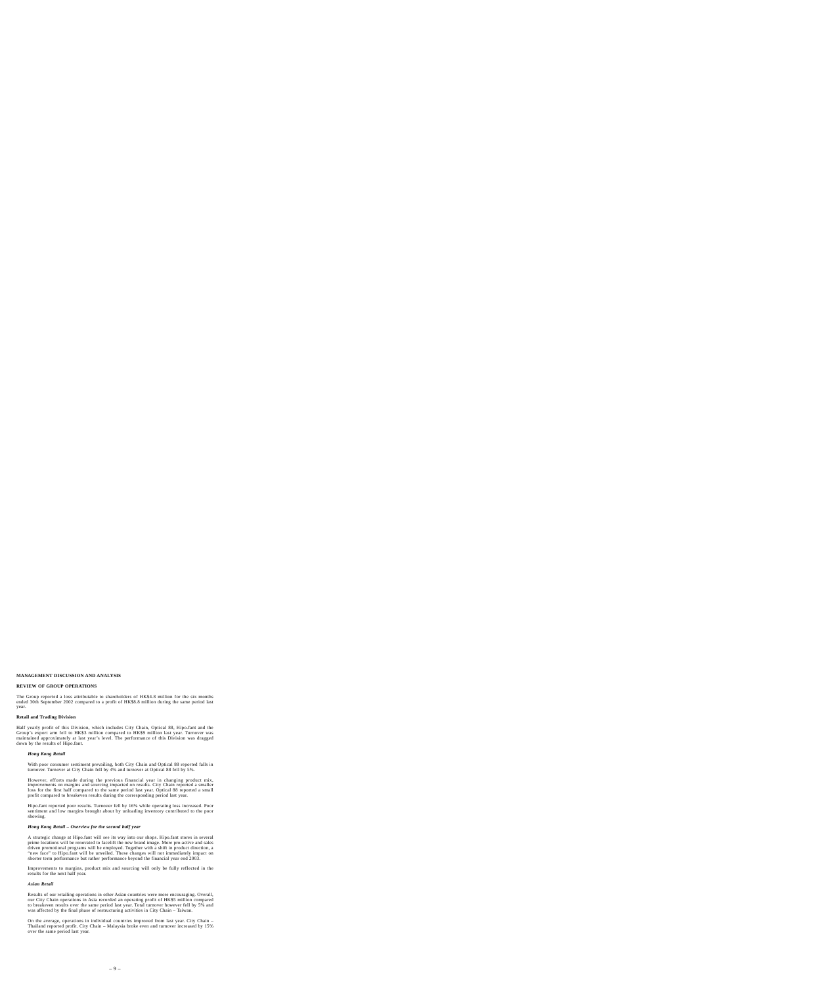# **MANAGEMENT DISCUSSION AND ANALYSIS**

### **REVIEW OF GROUP OPERATIONS**

The Group reported a loss attributable to shareholders of HK\$4.8 million for the six months ended 30th September 2002 compared to a profit of HK\$8.8 million during the same period last year.

#### **Retail and Trading Division**

Half yearly profit of this Division, which includes City Chain, Optical 88, Hipo.fant and the Group's export arm fell to HK\$3 million compared to HK\$9 million last year. Turnover was maintained approximately at last year's level. The performance of this Division was dragged down by the results of Hipo.fant.

#### *Hong Kong Retail*

With poor consumer sentiment prevailing, both City Chain and Optical 88 reported falls in turnover. Turnover at City Chain fell by 4% and turnover at Optical 88 fell by 5%.

However, efforts made during the previous financial year in changing product mix, improvements on margins and sourcing impacted on results. City Chain reported a smaller loss for the first half compared to the same period last year. Optical 88 reported a small profit compared to breakeven results during the corresponding period last year.

Hipo.fant reported poor results. Turnover fell by 16% while operating loss increased. Poor sentiment and low margins brought about by unloading inventory contributed to the poor showing.

#### *Hong Kong Retail – Overview for the second half year*

A strategic change at Hipo.fant will see its way into our shops. Hipo.fant stores in several prime locations will be renovated to facelift the new brand image. More pro-active and sales driven promotional programs will be employed. Together with a shift in product direction, a "new face" to Hipo.fant will be unveiled. These changes will not immediately impact on shorter term performance but rather performance beyond the financial year end 2003.

Improvements to margins, product mix and sourcing will only be fully reflected in the results for the next half year.

#### *Asian Retail*

Results of our retailing operations in other Asian countries were more encouraging. Overall, our City Chain operations in Asia recorded an operating profit of HK\$5 million compared to breakeven results over the same period last year. Total turnover however fell by 5% and was affected by the final phase of restructuring activities in City Chain – Taiwan.

On the average, operations in individual countries improved from last year. City Chain – Thailand reported profit. City Chain – Malaysia broke even and turnover increased by 15% over the same period last year.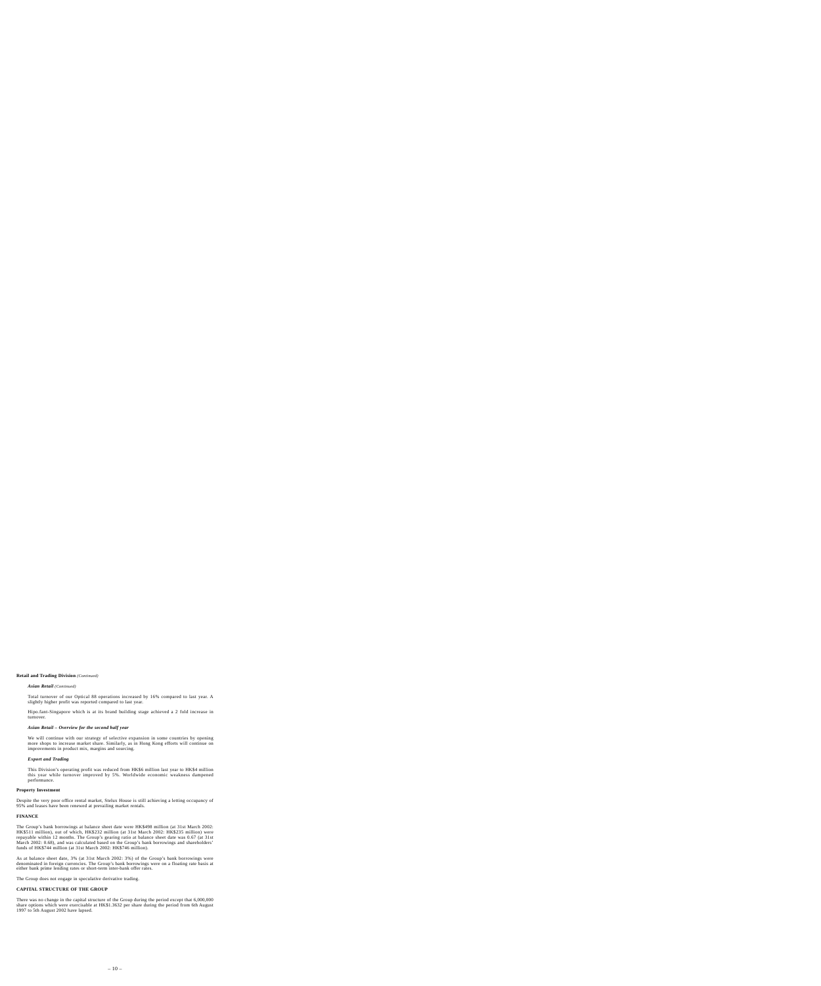# **Retail and Trading Division** *(Continued)*

# *Asian Retail (Continued)*

Total turnover of our Optical 88 operations increased by 16% compared to last year. A slightly higher profit was reported compared to last year.

Hipo.fant-Singapore which is at its brand building stage achieved a 2 fold increase in turnover.

# *Asian Retail – Overview for the second half year*

We will continue with our strategy of selective expansion in some countries by opening more shops to increase market share. Similarly, as in Hong Kong efforts will continue on improvements in product mix, margins and sourcing.

# *Export and Trading*

This Division's operating profit was reduced from HK\$6 million last year to HK\$4 million this year while turnover improved by 5%. Worldwide economic weakness dampened performance.

# **Property Investment**

Despite the very poor office rental market, Stelux House is still achieving a letting occupancy of 95% and leases have been renewed at prevailing market rentals.

# **FINANCE**

The Group's bank borrowings at balance sheet date were HK\$498 million (at 31st March 2002: HK\$511 million), out of which, HK\$232 million (at 31st March 2002: HK\$235 million) were repayable within 12 months. The Group's gearing ratio at balance sheet date was 0.67 (at 31st March 2002: 0.68), and was calculated based on the Group's bank borrowings and shareholders' funds of HK\$744 million (at 31st March 2002: HK\$746 million).

As at balance sheet date, 3% (at 31st March 2002: 3%) of the Group's bank borrowings were denominated in foreign currencies. The Group's bank borrowings were on a floating rate basis at either bank prime lending rates or short-term inter-bank offer rates.

The Group does not engage in speculative derivative trading.

# **CAPITAL STRUCTURE OF THE GROUP**

There was no change in the capital structure of the Group during the period except that 6,000,000 share options which were exercisable at HK\$1.3632 per share during the period from 6th August 1997 to 5th August 2002 have lapsed.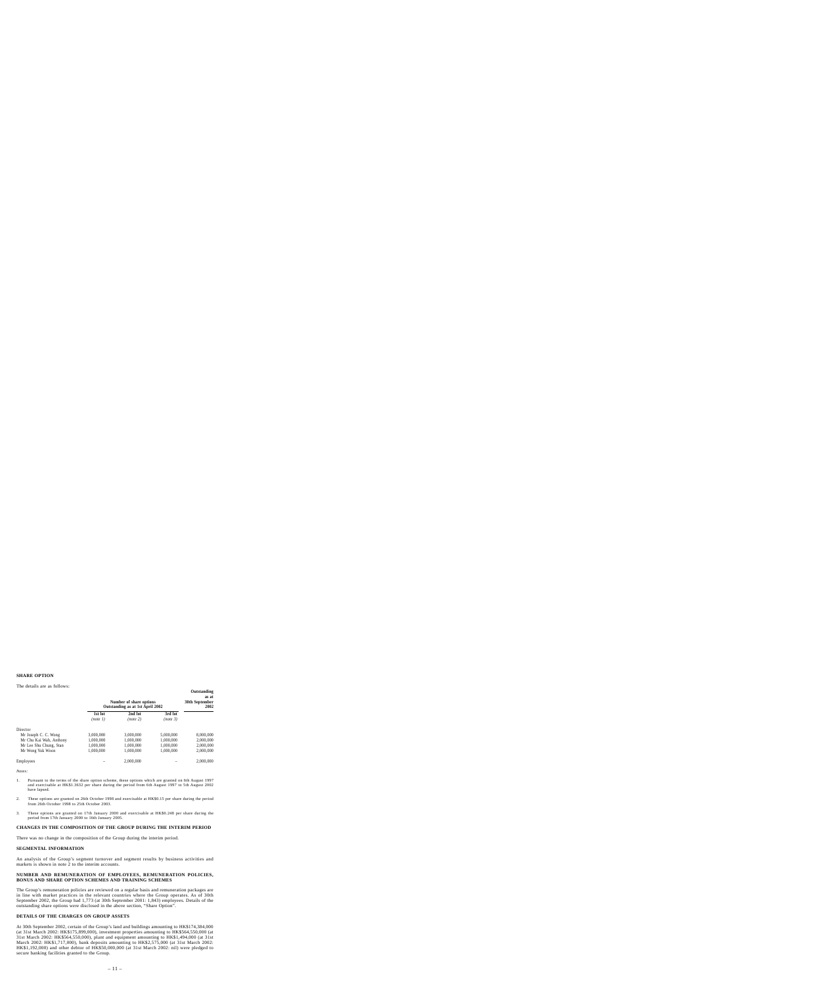# **SHARE OPTION**

#### The details are as follows:

|                         |                     | Number of share options<br>Outstanding as at 1st April 2002 |                     | Outstanding<br>as at<br>30th September<br>2002 |
|-------------------------|---------------------|-------------------------------------------------------------|---------------------|------------------------------------------------|
|                         | 1st lot<br>(note 1) | 2nd lot<br>(note 2)                                         | 3rd lot<br>(note 3) |                                                |
| Director                |                     |                                                             |                     |                                                |
| Mr Joseph C. C. Wong    | 3,000,000           | 3.000.000                                                   | 5,000,000           | 8,000,000                                      |
| Mr Chu Kai Wah, Anthony | 1.000.000           | 1.000.000                                                   | 1.000.000           | 2,000,000                                      |
| Mr Lee Shu Chung, Stan  | 1.000.000           | 1.000.000                                                   | 1.000.000           | 2,000,000                                      |
| Mr Wong Yuk Woon        | 1.000.000           | 1.000.000                                                   | 1.000.000           | 2.000.000                                      |
| Employees               |                     | 2.000.000                                                   |                     | 2,000,000                                      |

*Notes:*

- 1. Pursuant to the terms of the share option scheme, these options which are granted on 6th August 1997 and exercisable at HK\$1.3632 per share during the period from 6th August 1997 to 5th August 2002 have lapsed.
- 2. These options are granted on 26th October 1998 and exercisable at HK\$0.15 per share during the period from 26th October 1998 to 25th October 2003.
- 3. These options are granted on 17th January 2000 and exercisable at HK\$0.248 per share during the period from 17th January 2000 to 16th January 2005.

# **CHANGES IN THE COMPOSITION OF THE GROUP DURING THE INTERIM PERIOD**

There was no change in the composition of the Group during the interim period.

### **SEGMENTAL INFORMATION**

An analysis of the Group's segment turnover and segment results by business activities and markets is shown in note 2 to the interim accounts.

## **NUMBER AND REMUNERATION OF EMPLOYEES, REMUNERATION POLICIES, BONUS AND SHARE OPTION SCHEMES AND TRAINING SCHEMES**

The Group's remuneration policies are reviewed on a regular basis and remuneration packages are in line with market practices in the relevant countries where the Group operates. As of 30th September 2002, the Group had 1,773 (at 30th September 2001: 1,843) employees. Details of the outstanding share options were disclosed in the above section, "Share Option".

### **DETAILS OF THE CHARGES ON GROUP ASSETS**

At 30th September 2002, certain of the Group's land and buildings amounting to HK\$174,384,000 (at 31st March 2002: HK\$175,899,000), investment properties amounting to HK\$564,550,000 (at 31st March 2002: HK\$564,550,000), plant and equipment amounting to HK\$1,494,000 (at 31st March 2002: HK\$1,717,000), bank deposits amounting to HK\$2,575,000 (at 31st March 2002: HK\$1,192,000) and other debtor of HK\$50,000,000 (at 31st March 2002: nil) were pledged to secure banking facilities granted to the Group.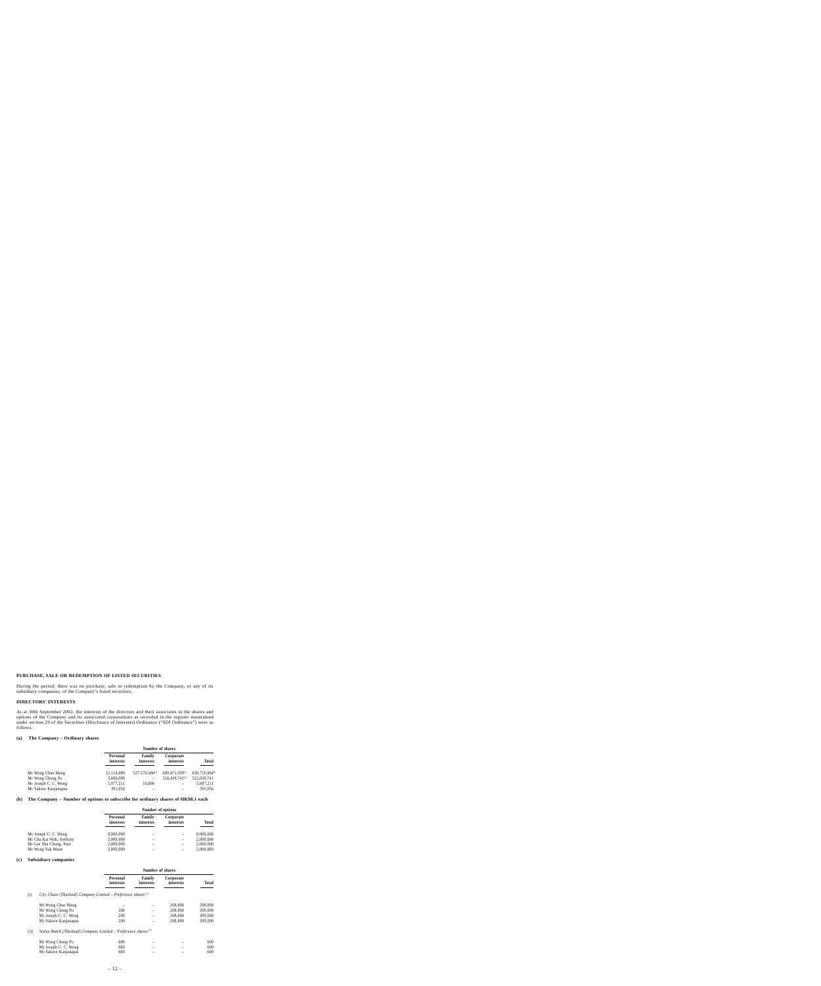# **PURCHASE, SALE OR REDEMPTION OF LISTED SECURITIES**

During the period, there was no purchase, sale or redemption by the Company, or any of its subsidiary companies, of the Company's listed securities.

# **DIRECTORS' INTERESTS**

As at 30th September 2002, the interests of the directors and their associates in the shares and options of the Company and its associated corporations as recorded in the register maintained under section 29 of the Securities (Disclosure of Interests) Ordinance ("SDI Ordinance") were as follows:

# **(a) The Company – Ordinary shares**

|                      | Number of shares      |                     |                            |              |
|----------------------|-----------------------|---------------------|----------------------------|--------------|
|                      | Personal<br>interests | Family<br>interests | Corporate<br>interests     | Total        |
| Mr Wong Chue Meng    | 12,114,080            | $527,570,666^{(1)}$ | 609,471,959(1)             | 630,716,964* |
| Mr Wong Chong Po     | 3,600,000             | -                   | 518.439.741 <sup>(2)</sup> | 522,039,741  |
| Mr Joseph C. C. Wong | 5,077,211             | 10.000              |                            | 5,087,211    |
| Mr Sakorn Kanjanapas | 391,056               |                     |                            | 391,056      |

# **(b) The Company – Number of options to subscribe for ordinary shares of HK\$0.1 each**

|                     | <b>Total</b>           |
|---------------------|------------------------|
|                     | 8,000,000              |
|                     | 2,000,000              |
|                     | 2,000,000              |
|                     | 2,000,000              |
| Family<br>interests | Corporate<br>interests |

#### **(c) Subsidiary companies**

| Number of shares      |  |  |
|-----------------------|--|--|
| Personal<br>interests |  |  |

# *(i) City Chain (Thailand) Company Limited – Preference shares (3)*

| Mr Wong Chue Meng    |     | $\qquad \qquad$          | 208,800 | 208,800 |
|----------------------|-----|--------------------------|---------|---------|
| Mr Wong Chong Po     | 200 | $\overline{\phantom{0}}$ | 208,800 | 209,000 |
| Mr Joseph C. C. Wong | 200 | $\qquad \qquad$          | 208,800 | 209,000 |
| Mr Sakorn Kanjanapas | 200 | -                        | 208.800 | 209,000 |

#### *(ii) Stelux Watch (Thailand) Company Limited – Preference shares (4)*

| Mr Wong Chong Po     | 600 |  | 600 |
|----------------------|-----|--|-----|
| Mr Joseph C. C. Wong | 600 |  | 600 |
| Mr Sakorn Kanjanapas | 600 |  | 600 |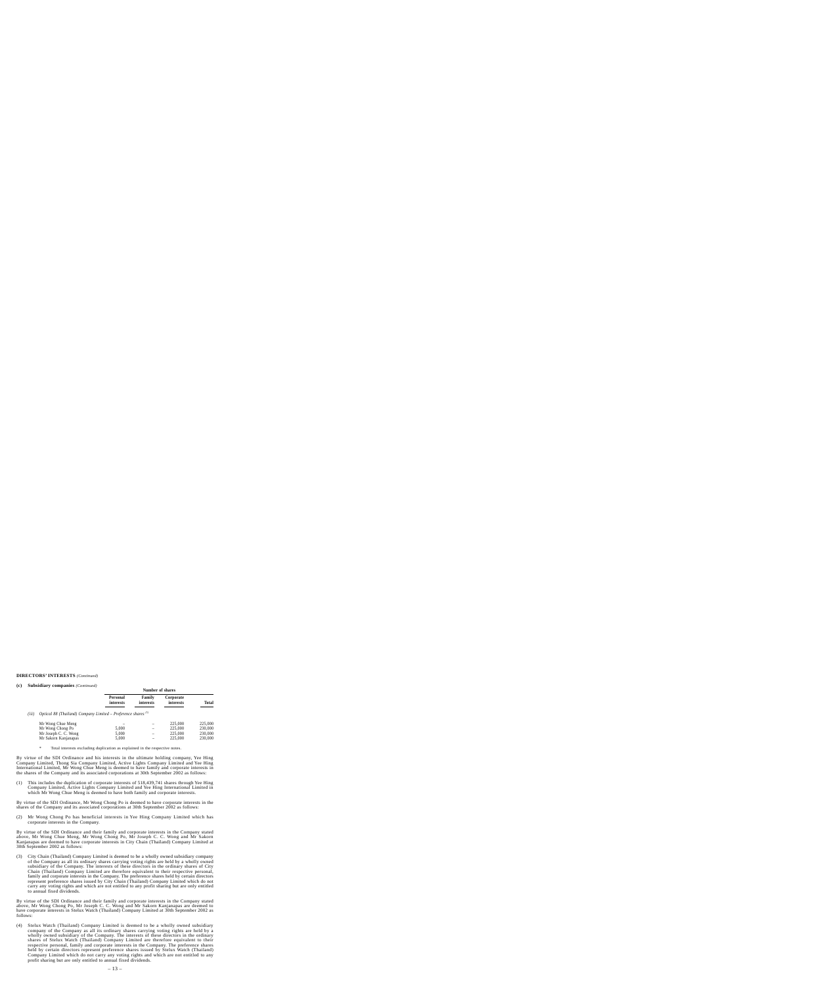# **DIRECTORS' INTERESTS** *(Continued)*

#### **(c) Subsidiary companies** *(Continued)*

|       |                                                                 |                       | Number of shares    |                        |              |  |
|-------|-----------------------------------------------------------------|-----------------------|---------------------|------------------------|--------------|--|
|       |                                                                 | Personal<br>interests | Family<br>interests | Corporate<br>interests | <b>Total</b> |  |
| (iii) | Optical 88 (Thailand) Company Limited – Preference shares $(5)$ |                       |                     |                        |              |  |
|       | Mr Wong Chue Meng                                               |                       |                     | 225,000                | 225,000      |  |
|       | Mr Wong Chong Po                                                | 5,000                 |                     | 225,000                | 230,000      |  |
|       | Mr Joseph C. C. Wong                                            | 5.000                 |                     | 225,000                | 230,000      |  |
|       | Mr Sakorn Kanjanapas                                            | 5,000                 |                     | 225,000                | 230,000      |  |

\* Total interests excluding duplication as explained in the respective notes.

By virtue of the SDI Ordinance and his interests in the ultimate holding company, Yee Hing Company Limited, Thong Sia Company Limited, Active Lights Company Limited and Yee Hing International Limited, Mr Wong Chue Meng is deemed to have family and corporate interests in the shares of the Company and its associated corporations at 30th September 2002 as follows:

(1) This includes the duplication of corporate interests of 518,439,741 shares through Yee Hing Company Limited, Active Lights Company Limited and Yee Hing International Limited in which Mr Wong Chue Meng is deemed to have both family and corporate interests.

By virtue of the SDI Ordinance, Mr Wong Chong Po is deemed to have corporate interests in the shares of the Company and its associated corporations at 30th September 2002 as follows:

(2) Mr Wong Chong Po has beneficial interests in Yee Hing Company Limited which has corporate interests in the Company.

By virtue of the SDI Ordinance and their family and corporate interests in the Company stated above, Mr Wong Chue Meng, Mr Wong Chong Po, Mr Joseph C. C. Wong and Mr Sakorn Kanjanapas are deemed to have corporate interests in City Chain (Thailand) Company Limited at 30th September 2002 as follows:

(3) City Chain (Thailand) Company Limited is deemed to be a wholly owned subsidiary company of the Company as all its ordinary shares carrying voting rights are held by a wholly owned subsidiary of the Company. The interests of these directors in the ordinary shares of City Chain (Thailand) Company Limited are therefore equivalent to their respective personal, family and corporate interests in the Company. The preference shares held by certain directors represent preference shares issued by City Chain (Thailand) Company Limited which do not carry any voting rights and which are not entitled to any profit sharing but are only entitled to annual fixed dividends.

By virtue of the SDI Ordinance and their family and corporate interests in the Company stated above, Mr Wong Chong Po, Mr Joseph C. C. Wong and Mr Sakorn Kanjanapas are deemed to have corporate interests in Stelux Watch (Thailand) Company Limited at 30th September 2002 as follows:

(4) Stelux Watch (Thailand) Company Limited is deemed to be a wholly owned subsidiary company of the Company as all its ordinary shares carrying voting rights are held by a wholly owned subsidiary of the Company. The interests of these directors in the ordinary shares of Stelux Watch (Thailand) Company Limited are therefore equivalent to their respective personal, family and corporate interests in the Company. The preference shares held by certain directors represent preference shares issued by Stelux Watch (Thailand) Company Limited which do not carry any voting rights and which are not entitled to any profit sharing but are only entitled to annual fixed dividends.